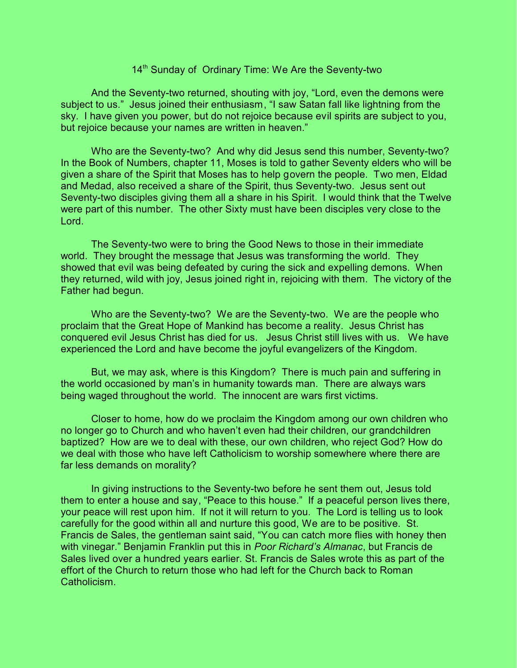## 14<sup>th</sup> Sunday of Ordinary Time: We Are the Seventy-two

And the Seventy-two returned, shouting with joy, "Lord, even the demons were subject to us." Jesus joined their enthusiasm, "I saw Satan fall like lightning from the sky. I have given you power, but do not rejoice because evil spirits are subject to you, but rejoice because your names are written in heaven."

Who are the Seventy-two? And why did Jesus send this number, Seventy-two? In the Book of Numbers, chapter 11, Moses is told to gather Seventy elders who will be given a share of the Spirit that Moses has to help govern the people. Two men, Eldad and Medad, also received a share of the Spirit, thus Seventy-two. Jesus sent out Seventy-two disciples giving them all a share in his Spirit. I would think that the Twelve were part of this number. The other Sixty must have been disciples very close to the Lord.

The Seventy-two were to bring the Good News to those in their immediate world. They brought the message that Jesus was transforming the world. They showed that evil was being defeated by curing the sick and expelling demons. When they returned, wild with joy, Jesus joined right in, rejoicing with them. The victory of the Father had begun.

Who are the Seventy-two? We are the Seventy-two. We are the people who proclaim that the Great Hope of Mankind has become a reality. Jesus Christ has conquered evil Jesus Christ has died for us. Jesus Christ still lives with us. We have experienced the Lord and have become the joyful evangelizers of the Kingdom.

But, we may ask, where is this Kingdom? There is much pain and suffering in the world occasioned by man's in humanity towards man. There are always wars being waged throughout the world. The innocent are wars first victims.

Closer to home, how do we proclaim the Kingdom among our own children who no longer go to Church and who haven't even had their children, our grandchildren baptized? How are we to deal with these, our own children, who reject God? How do we deal with those who have left Catholicism to worship somewhere where there are far less demands on morality?

In giving instructions to the Seventy-two before he sent them out, Jesus told them to enter a house and say, "Peace to this house." If a peaceful person lives there, your peace will rest upon him. If not it will return to you. The Lord is telling us to look carefully for the good within all and nurture this good, We are to be positive. St. Francis de Sales, the gentleman saint said, "You can catch more flies with honey then with vinegar." Benjamin Franklin put this in *Poor Richard's Almanac*, but Francis de Sales lived over a hundred years earlier. St. Francis de Sales wrote this as part of the effort of the Church to return those who had left for the Church back to Roman Catholicism.